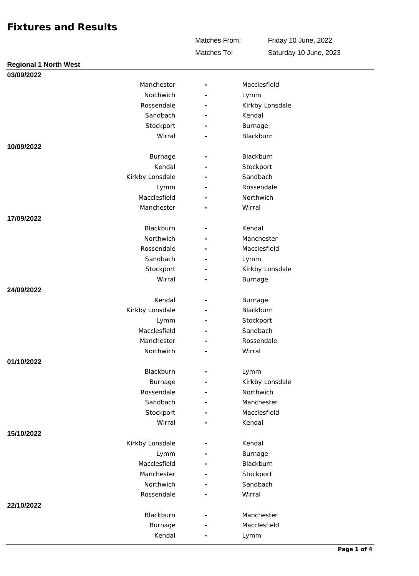Matches From:

Friday 10 June, 2022 Saturday 10 June, 2023

Matches To:

| <b>Regional 1 North West</b> |                 |                          |                 |
|------------------------------|-----------------|--------------------------|-----------------|
| 03/09/2022                   |                 |                          |                 |
|                              | Manchester      |                          | Macclesfield    |
|                              | Northwich       | $\overline{\phantom{a}}$ | Lymm            |
|                              | Rossendale      |                          | Kirkby Lonsdale |
|                              | Sandbach        |                          | Kendal          |
|                              | Stockport       |                          | Burnage         |
|                              | Wirral          | $\overline{\phantom{a}}$ | Blackburn       |
| 10/09/2022                   |                 |                          |                 |
|                              | Burnage         |                          | Blackburn       |
|                              | Kendal          |                          | Stockport       |
|                              | Kirkby Lonsdale |                          | Sandbach        |
|                              | Lymm            |                          | Rossendale      |
|                              | Macclesfield    |                          | Northwich       |
|                              | Manchester      |                          | Wirral          |
| 17/09/2022                   |                 |                          |                 |
|                              | Blackburn       | ÷.                       | Kendal          |
|                              | Northwich       |                          | Manchester      |
|                              | Rossendale      |                          | Macclesfield    |
|                              | Sandbach        | $\overline{\phantom{a}}$ | Lymm            |
|                              | Stockport       |                          | Kirkby Lonsdale |
|                              | Wirral          |                          | Burnage         |
| 24/09/2022                   |                 |                          |                 |
|                              | Kendal          | $\overline{\phantom{a}}$ | Burnage         |
|                              | Kirkby Lonsdale |                          | Blackburn       |
|                              | Lymm            |                          | Stockport       |
|                              | Macclesfield    |                          | Sandbach        |
|                              | Manchester      |                          | Rossendale      |
|                              | Northwich       |                          | Wirral          |
| 01/10/2022                   |                 |                          |                 |
|                              | Blackburn       |                          | Lymm            |
|                              | <b>Burnage</b>  |                          | Kirkby Lonsdale |
|                              | Rossendale      |                          | Northwich       |
|                              | Sandbach        |                          | Manchester      |
|                              | Stockport       |                          | Macclesfield    |
|                              | Wirral          |                          | Kendal          |
| 15/10/2022                   |                 |                          |                 |
|                              | Kirkby Lonsdale |                          | Kendal          |
|                              | Lymm            |                          | Burnage         |
|                              | Macclesfield    |                          | Blackburn       |
|                              | Manchester      |                          | Stockport       |
|                              | Northwich       |                          | Sandbach        |
|                              | Rossendale      |                          | Wirral          |
| 22/10/2022                   |                 |                          |                 |
|                              | Blackburn       |                          | Manchester      |
|                              | Burnage         |                          | Macclesfield    |
|                              | Kendal          |                          | Lymm            |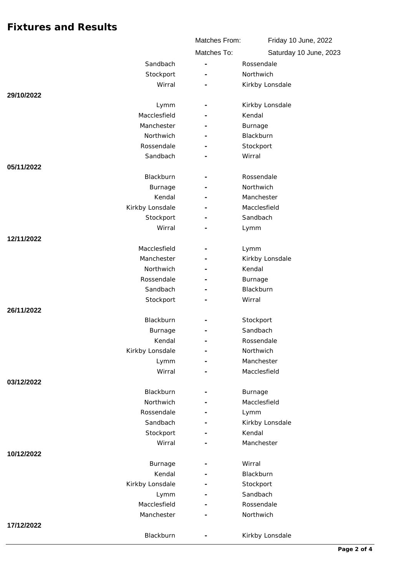|                         | Matches From: | Friday 10 June, 2022   |
|-------------------------|---------------|------------------------|
|                         | Matches To:   | Saturday 10 June, 2023 |
| Sandbach                | ÷,            | Rossendale             |
| Stockport               |               | Northwich              |
| Wirral                  |               | Kirkby Lonsdale        |
| 29/10/2022              |               |                        |
| Lymm                    |               | Kirkby Lonsdale        |
| Macclesfield            |               | Kendal                 |
| Manchester              |               | Burnage                |
| Northwich               |               | Blackburn              |
| Rossendale              |               | Stockport              |
| Sandbach                |               | Wirral                 |
| 05/11/2022              |               |                        |
| Blackburn               |               | Rossendale             |
| Burnage                 |               | Northwich              |
| Kendal                  |               | Manchester             |
| Kirkby Lonsdale         |               | Macclesfield           |
| Stockport               |               | Sandbach               |
| Wirral                  |               | Lymm                   |
| 12/11/2022              |               |                        |
| Macclesfield            |               | Lymm                   |
| Manchester              |               | Kirkby Lonsdale        |
| Northwich               |               | Kendal                 |
| Rossendale<br>Sandbach  |               | Burnage                |
|                         |               | Blackburn<br>Wirral    |
| Stockport<br>26/11/2022 |               |                        |
| Blackburn               |               | Stockport              |
| Burnage                 |               | Sandbach               |
| Kendal                  |               | Rossendale             |
| Kirkby Lonsdale         |               | Northwich              |
| Lymm                    |               | Manchester             |
| Wirral                  |               | Macclesfield           |
| 03/12/2022              |               |                        |
| Blackburn               |               | Burnage                |
| Northwich               |               | Macclesfield           |
| Rossendale              |               | Lymm                   |
| Sandbach                |               | Kirkby Lonsdale        |
| Stockport               |               | Kendal                 |
| Wirral                  |               | Manchester             |
| 10/12/2022              |               |                        |
| Burnage                 |               | Wirral                 |
| Kendal                  |               | Blackburn              |
| Kirkby Lonsdale         |               | Stockport              |
| Lymm                    |               | Sandbach               |
| Macclesfield            |               | Rossendale             |
| Manchester              |               | Northwich              |
| 17/12/2022              |               |                        |
| Blackburn               |               | Kirkby Lonsdale        |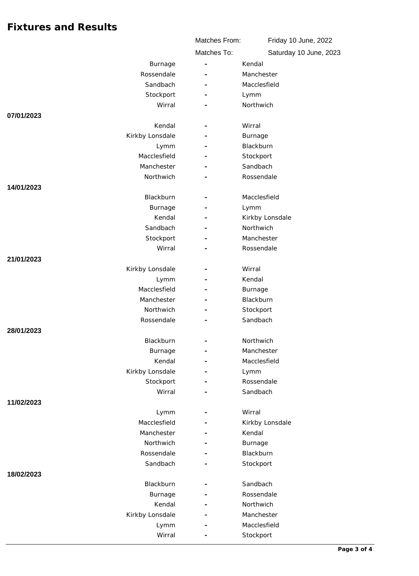|                            | Matches From: | Friday 10 June, 2022   |
|----------------------------|---------------|------------------------|
|                            | Matches To:   | Saturday 10 June, 2023 |
| Burnage                    |               | Kendal                 |
| Rossendale                 |               | Manchester             |
| Sandbach                   |               | Macclesfield           |
| Stockport                  |               | Lymm                   |
| Wirral                     |               | Northwich              |
| 07/01/2023                 |               |                        |
| Kendal                     | -             | Wirral                 |
| Kirkby Lonsdale            |               | Burnage                |
| Lymm                       |               | Blackburn              |
| Macclesfield               |               | Stockport              |
| Manchester                 |               | Sandbach               |
| Northwich                  |               | Rossendale             |
| 14/01/2023                 |               |                        |
| Blackburn                  |               | Macclesfield           |
| Burnage                    |               | Lymm                   |
| Kendal                     |               | Kirkby Lonsdale        |
| Sandbach                   |               | Northwich              |
| Stockport                  |               | Manchester             |
| Wirral                     |               | Rossendale             |
| 21/01/2023                 |               |                        |
| Kirkby Lonsdale            |               | Wirral                 |
| Lymm                       |               | Kendal                 |
| Macclesfield<br>Manchester |               | Burnage<br>Blackburn   |
| Northwich                  |               |                        |
| Rossendale                 |               | Stockport<br>Sandbach  |
| 28/01/2023                 |               |                        |
| Blackburn                  |               | Northwich              |
| Burnage                    | ÷             | Manchester             |
| Kendal                     |               | Macclesfield           |
| Kirkby Lonsdale            |               | Lymm                   |
| Stockport                  |               | Rossendale             |
| Wirral                     |               | Sandbach               |
| 11/02/2023                 |               |                        |
| Lymm                       |               | Wirral                 |
| Macclesfield               |               | Kirkby Lonsdale        |
| Manchester                 |               | Kendal                 |
| Northwich                  |               | Burnage                |
| Rossendale                 |               | Blackburn              |
| Sandbach                   |               | Stockport              |
| 18/02/2023                 |               |                        |
| Blackburn                  |               | Sandbach               |
| Burnage                    |               | Rossendale             |
| Kendal                     |               | Northwich              |
| Kirkby Lonsdale            |               | Manchester             |
| Lymm                       |               | Macclesfield           |
| Wirral                     |               | Stockport              |